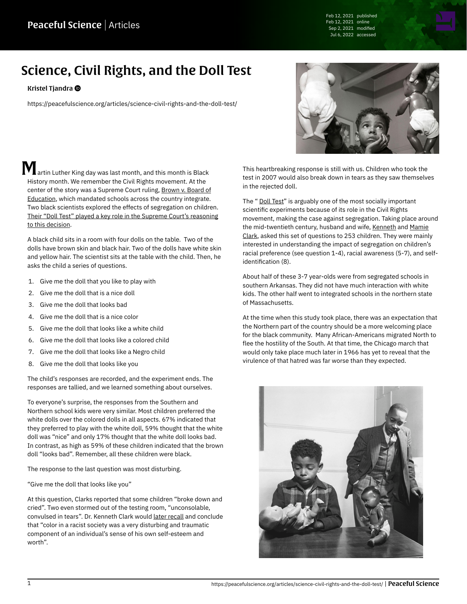Feb 12, 2021 published Feb 12, 2021 online Sep 2, 2021 modified Jul 6, 2022 accessed

# Science, Civil Rights, and the Doll Test

#### [Kristel Tjandra](https://peacefulscience.org/authors/kristel/)

<https://peacefulscience.org/articles/science-civil-rights-and-the-doll-test/>

artin Luther King day was last month, and this month is Black History month. We remember the Civil Rights movement. At the center of the story was a Supreme Court ruling, [Brown v. Board of](https://www.history.com/topics/black-history/brown-v-board-of-education-of-topeka) [Education](https://www.history.com/topics/black-history/brown-v-board-of-education-of-topeka), which mandated schools across the country integrate. Two black scientists explored the effects of segregation on children. [Their "Doll Test" played a key role in the Supreme Court's reasoning](https://www.history.com/news/brown-v-board-of-education-doll-experiment) [to this decision.](https://www.history.com/news/brown-v-board-of-education-doll-experiment)

A black child sits in a room with four dolls on the table. Two of the dolls have brown skin and black hair. Two of the dolls have white skin and yellow hair. The scientist sits at the table with the child. Then, he asks the child a series of questions.

- 1. Give me the doll that you like to play with
- 2. Give me the doll that is a nice doll
- 3. Give me the doll that looks bad
- 4. Give me the doll that is a nice color
- 5. Give me the doll that looks like a white child
- 6. Give me the doll that looks like a colored child
- 7. Give me the doll that looks like a Negro child
- 8. Give me the doll that looks like you

The child's responses are recorded, and the experiment ends. The responses are tallied, and we learned something about ourselves.

To everyone's surprise, the responses from the Southern and Northern school kids were very similar. Most children preferred the white dolls over the colored dolls in all aspects. 67% indicated that they preferred to play with the white doll, 59% thought that the white doll was "nice" and only 17% thought that the white doll looks bad. In contrast, as high as 59% of these children indicated that the brown doll "looks bad". Remember, all these children were black.

The response to the last question was most disturbing.

"Give me the doll that looks like you"

At this question, Clarks reported that some children "broke down and cried". Two even stormed out of the testing room, "unconsolable, convulsed in tears". Dr. Kenneth Clark would [later recall](https://www.nytimes.com/2014/05/07/upshot/how-an-experiment-with-dolls-helped-lead-to-school-integration.html) and conclude that "color in a racist society was a very disturbing and traumatic component of an individual's sense of his own self-esteem and worth".



This heartbreaking response is still with us. Children who took the test in 2007 would also break down in tears as they saw themselves in the rejected doll.

The " [Doll Test](http://www2.law.columbia.edu/fagan/courses/law_socialscience/documents/Spring_2006/Class%2018-Racial%20Discrimination/Doll_Study.pdf)" is arguably one of the most socially important scientific experiments because of its role in the Civil Rights movement, making the case against segregation. Taking place around the mid-twentieth century, husband and wife, [Kenneth](https://www.encyclopedia.com/people/social-sciences-and-law/education-biographies/kenneth-bancroft-clark#2870700021) and [Mamie](https://encyclopediaofarkansas.net/entries/mamie-katherine-phipps-clark-2938) [Clark,](https://encyclopediaofarkansas.net/entries/mamie-katherine-phipps-clark-2938) asked this set of questions to 253 children. They were mainly interested in understanding the impact of segregation on children's racial preference (see question 1-4), racial awareness (5-7), and selfidentification (8).

About half of these 3-7 year-olds were from segregated schools in southern Arkansas. They did not have much interaction with white kids. The other half went to integrated schools in the northern state of Massachusetts.

At the time when this study took place, there was an expectation that the Northern part of the country should be a more welcoming place for the black community. Many African-Americans migrated North to flee the hostility of the South. At that time, the Chicago march that would only take place much later in 1966 has yet to reveal that the virulence of that hatred was far worse than they expected.

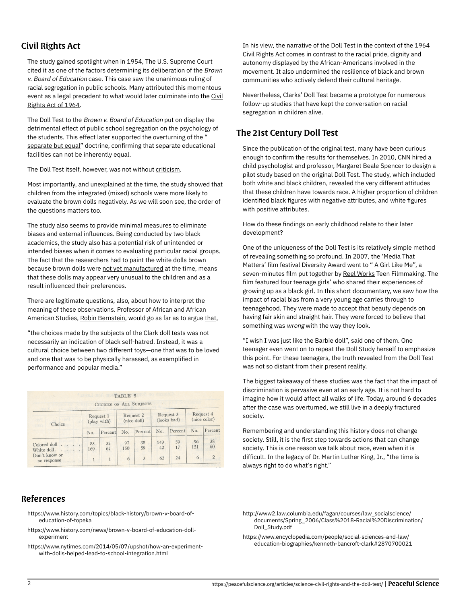# Civil Rights Act

The study gained spotlight when in 1954, The U.S. Supreme Court [cited](https://caselaw.findlaw.com/us-supreme-court/347/483.html#f10) it as one of the factors determining its deliberation of the **[Brown](https://www.history.com/topics/black-history/brown-v-board-of-education-of-topeka)** [v. Board of Education](https://www.history.com/topics/black-history/brown-v-board-of-education-of-topeka) case. This case saw the unanimous ruling of racial segregation in public schools. Many attributed this momentous event as a legal precedent to what would later culminate into the [Civil](https://en.wikipedia.org/wiki/Civil_Rights_Act_of_1964) [Rights Act of 1964.](https://en.wikipedia.org/wiki/Civil_Rights_Act_of_1964)

The Doll Test to the Brown v. Board of Education put on display the detrimental effect of public school segregation on the psychology of the students. This effect later supported the overturning of the " [separate but equal](https://en.wikipedia.org/wiki/Separate_but_equal)" doctrine, confirming that separate educational facilities can not be inherently equal.

The Doll Test itself, however, was not without [criticism.](https://www.theroot.com/the-doll-test-for-racial-self-hate-did-it-ever-make-se-1790875716)

Most importantly, and unexplained at the time, the study showed that children from the integrated (mixed) schools were more likely to evaluate the brown dolls negatively. As we will soon see, the order of the questions matters too.

The study also seems to provide minimal measures to eliminate biases and external influences. Being conducted by two black academics, the study also has a potential risk of unintended or intended biases when it comes to evaluating particular racial groups. The fact that the researchers had to paint the white dolls brown because brown dolls were [not yet manufactured](https://www.history.com/news/brown-v-board-of-education-doll-experiment) at the time, means that these dolls may appear very unusual to the children and as a result influenced their preferences.

There are legitimate questions, also, about how to interpret the meaning of these observations. Professor of African and African American Studies, [Robin Bernstein](https://aaas.fas.harvard.edu/people/robin-bernstein), would go as far as to argue [that,](https://www.thecrimson.com/article/2011/12/1/clark-dolls-research-media)

"the choices made by the subjects of the Clark doll tests was not necessarily an indication of black self-hatred. Instead, it was a cultural choice between two different toys—one that was to be loved and one that was to be physically harassed, as exemplified in performance and popular media."

|                                             |                          | <b>CHOICES OF ALL SUBJECTS</b> |                          |          |                          |          |                           |                |
|---------------------------------------------|--------------------------|--------------------------------|--------------------------|----------|--------------------------|----------|---------------------------|----------------|
| Choice                                      | Request 1<br>(play with) |                                | Request 2<br>(nice doll) |          | Request 3<br>(looks bad) |          | Request 4<br>(nice color) |                |
|                                             | No.                      | Percent                        | No.                      | Percent  | No.                      | Percent  | No.                       | Percent        |
| Colored doll                                | 83<br>169                | 32<br>67                       | 97<br>150                | 38<br>59 | 149<br>42                | 59<br>17 | 96<br>151                 | 38<br>60       |
| White doll.<br>Don't know or<br>no response |                          |                                | 6                        | 3        | 62                       | 24       | 6                         | $\overline{2}$ |

## References

- [https://www.history.com/topics/black-history/brown-v-board-of](https://www.history.com/topics/black-history/brown-v-board-of-education-of-topeka)[education-of-topeka](https://www.history.com/topics/black-history/brown-v-board-of-education-of-topeka)
- [https://www.history.com/news/brown-v-board-of-education-doll](https://www.history.com/news/brown-v-board-of-education-doll-experiment)[experiment](https://www.history.com/news/brown-v-board-of-education-doll-experiment)
- [https://www.nytimes.com/2014/05/07/upshot/how-an-experiment](https://www.nytimes.com/2014/05/07/upshot/how-an-experiment-with-dolls-helped-lead-to-school-integration.html)[with-dolls-helped-lead-to-school-integration.html](https://www.nytimes.com/2014/05/07/upshot/how-an-experiment-with-dolls-helped-lead-to-school-integration.html)

In his view, the narrative of the Doll Test in the context of the 1964 Civil Rights Act comes in contrast to the racial pride, dignity and autonomy displayed by the African-Americans involved in the movement. It also undermined the resilience of black and brown communities who actively defend their cultural heritage.

Nevertheless, Clarks' Doll Test became a prototype for numerous follow-up studies that have kept the conversation on racial segregation in children alive.

## The 21st Century Doll Test

Since the publication of the original test, many have been curious enough to confirm the results for themselves. In 2010, [CNN](https://www.cnn.com/2010/US/05/13/doll.study/index.html) hired a child psychologist and professor, [Margaret Beale Spencer](https://humdev.uchicago.edu/directory/margaret-beale-spencer) to design a pilot study based on the original Doll Test. The study, which included both white and black children, revealed the very different attitudes that these children have towards race. A higher proportion of children identified black figures with negative attributes, and white figures with positive attributes.

How do these findings on early childhood relate to their later development?

One of the uniqueness of the Doll Test is its relatively simple method of revealing something so profound. In 2007, the 'Media That Matters' film festival Diversity Award went to "[A Girl Like Me](https://www.youtube.com/watch?v=YWyI77Yh1Gg)", a seven-minutes film put together by [Reel Works](https://www.reelworks.org/) Teen Filmmaking. The film featured four teenage girls' who shared their experiences of growing up as a black girl. In this short documentary, we saw how the impact of racial bias from a very young age carries through to teenagehood. They were made to accept that beauty depends on having fair skin and straight hair. They were forced to believe that something was wrong with the way they look.

"I wish I was just like the Barbie doll", said one of them. One teenager even went on to repeat the Doll Study herself to emphasize this point. For these teenagers, the truth revealed from the Doll Test was not so distant from their present reality.

The biggest takeaway of these studies was the fact that the impact of discrimination is pervasive even at an early age. It is not hard to imagine how it would affect all walks of life. Today, around 6 decades after the case was overturned, we still live in a deeply fractured society.

Remembering and understanding this history does not change society. Still, it is the first step towards actions that can change society. This is one reason we talk about race, even when it is difficult. In the legacy of Dr. Martin Luther King, Jr., "the time is always right to do what's right."

- [http://www2.law.columbia.edu/fagan/courses/law\\_socialscience/](http://www2.law.columbia.edu/fagan/courses/law_socialscience/documents/Spring_2006/Class%2018-Racial%20Discrimination/Doll_Study.pdf) [documents/Spring\\_2006/Class%2018-Racial%20Discrimination/](http://www2.law.columbia.edu/fagan/courses/law_socialscience/documents/Spring_2006/Class%2018-Racial%20Discrimination/Doll_Study.pdf) [Doll\\_Study.pdf](http://www2.law.columbia.edu/fagan/courses/law_socialscience/documents/Spring_2006/Class%2018-Racial%20Discrimination/Doll_Study.pdf)
- [https://www.encyclopedia.com/people/social-sciences-and-law/](https://www.encyclopedia.com/people/social-sciences-and-law/education-biographies/kenneth-bancroft-clark#2870700021) [education-biographies/kenneth-bancroft-clark#2870700021](https://www.encyclopedia.com/people/social-sciences-and-law/education-biographies/kenneth-bancroft-clark#2870700021)